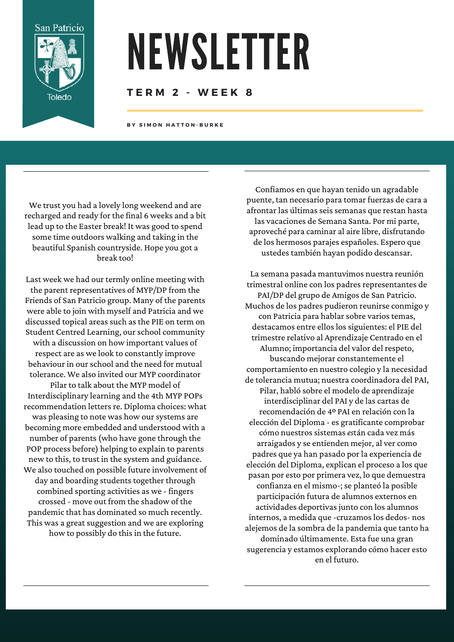

# NEWSLETTER

#### **T E R M 2 - W E E K 8**

**B Y S I M O N H A T T O N - B U R K E**

We trust you had a lovely long weekend and are recharged and ready for the final 6 weeks and a bit lead up to the Easter break! It was good to spend some time outdoors walking and taking in the beautiful Spanish countryside. Hope you got a break too!

Last week we had our termly online meeting with the parent representatives of MYP/DP from the Friends of San Patricio group. Many of the parents were able to join with myself and Patricia and we discussed topical areas such as the PIE on term on Student Centred Learning, our school community with a discussion on how important values of respect are as we look to constantly improve behaviour in our school and the need for mutual tolerance. We also invited our MYP coordinator Pilar to talk about the MYP model of Interdisciplinary learning and the 4th MYP POPs recommendation letters re. Diploma choices: what was pleasing to note was how our systems are becoming more embedded and understood with a number of parents(who have gone through the POP process before) helping to explain to parents new to this, to trust in the system and guidance. We also touched on possible future involvement of day and boarding students together through combined sporting activities as we - fingers crossed - move out from the shadow of the pandemic that has dominated so much recently. This was a great suggestion and we are exploring how to possibly do this in the future.

Confiamos en que hayan tenido un agradable puente, tan necesario para tomar fuerzas de cara a afrontar las últimas seis semanas que restan hasta las vacaciones de Semana Santa. Por mi parte, aproveché para caminar al aire libre, disfrutando de los hermosos parajes españoles. Espero que ustedes también hayan podido descansar.

La semana pasada mantuvimos nuestra reunión trimestral online con los padres representantes de PAI/DP del grupo de Amigos de San Patricio. Muchos de los padres pudieron reunirse conmigo y con Patricia para hablar sobre varios temas, destacamos entre ellos los siguientes: el PIE del trimestre relativo al Aprendizaje Centrado en el Alumno; importancia del valor del respeto, buscando mejorar constantemente el comportamiento en nuestro colegio y la necesidad de tolerancia mutua; nuestra coordinadora del PAI, Pilar, habló sobre el modelo de aprendizaje interdisciplinar del PAI y de las cartas de recomendación de 4º PAI en relación con la elección del Diploma - es gratificante comprobar cómo nuestrossistemas*es*tán cada vez más arraigados y se entienden mejor, al ver como padres que ya han pasado por la experiencia de elección del Diploma, explican el proceso a los que pasan por esto por primera vez, lo que demuestra confianza en el mismo-; se planteó la posible participación futura de alumnos externos en actividades deportivas junto con los alumnos internos, a medida que -cruzamos los dedos- nos alejemos de la sombra de la pandemia que tanto ha dominado últimamente. Esta fue una gran sugerencia y estamos explorando cómo hacer esto en el futuro.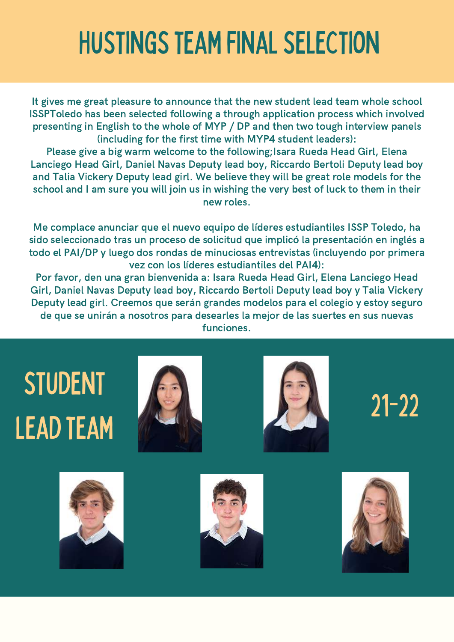## **HUSTINGS TEAM FINAL SELECTION**

It gives me great pleasure to announce that the new student lead team whole school ISSPToledo has been selected following a through application process which involved presenting in English to the whole of MYP / DP and then two tough interview panels (including for the first time with MYP4 student leaders):

Please give a big warm welcome to the following; Isara Rueda Head Girl, Elena Lanciego Head Girl, Daniel Navas Deputy lead boy, Riccardo Bertoli Deputy lead boy and Talia Vickery Deputy lead girl. We believe they will be great role models for the school and I am sure you will join us in wishing the very best of luck to them in their new roles.

Me complace anunciar que el nuevo equipo de líderes estudiantiles ISSP Toledo, ha sido seleccionado tras un proceso de solicitud que implicó la presentación en inglés a todo el PAI/DP y luego dos rondas de minuciosas entrevistas (incluyendo por primera vez con los líderes estudiantiles del PAI4):

Por favor, den una gran bienvenida a: Isara Rueda Head Girl, Elena Lanciego Head Girl, Daniel Navas Deputy lead boy, Riccardo Bertoli Deputy lead boy y Talia Vickery Deputy lead girl. Creemos que serán grandes modelos para el colegio y estoy seguro de que se unirán a nosotros para desearles la mejor de las suertes en sus nuevas funciones.

## student **LEAD TEAM**





21-22





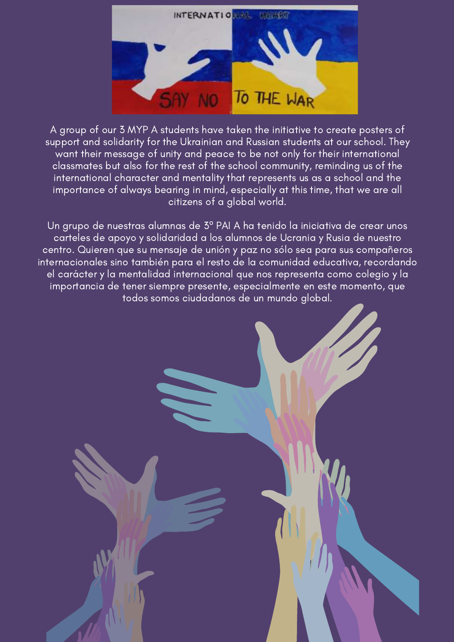

A group of our 3 MYP A students have taken the initiative to create posters of support and solidarity for the Ukrainian and Russian students at our school. They want their message of unity and peace to be not only for their international classmates but also for the rest of the school community, reminding us of the international character and mentality that represents us as a school and the importance of always bearing in mind, especially at this time, that we are all citizens of a global world.

Un grupo de nuestras alumnas de 3º PAI A ha tenido la iniciativa de crear unos carteles de apoyo y solidaridad a los alumnos de Ucrania y Rusia de nuestro centro. Quieren que su mensaje de unión y paz no sólo sea para sus compañeros internacionales sino también para el resto de la comunidad educativa, recordando el carácter y la mentalidad internacional que nos representa como colegio y la importancia de tener siempre presente, especialmente en este momento, que todos somos ciudadanos de un mundo global.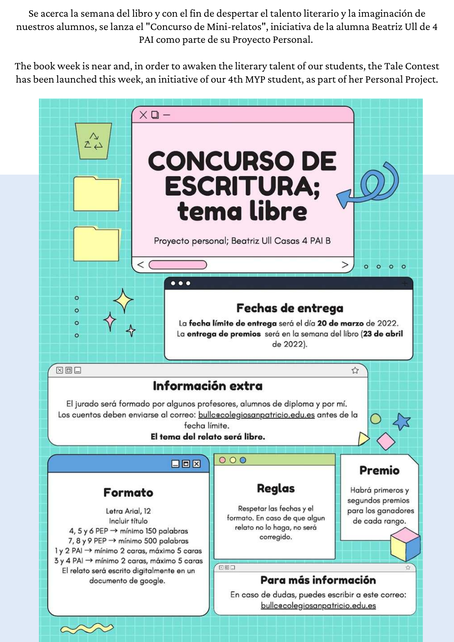Se acerca la semana del libro y con el fin de despertar el talento literario y la imaginación de nuestros alumnos, se lanza el "Concurso de Mini-relatos", iniciativa de la alumna Beatriz Ull de 4 PAI como parte de su Proyecto Personal.

The book week is near and, in order to awaken the literary talent of our students, the Tale Contest has been launched this week, an initiative of our 4th MYP student, as part of her Personal Project.

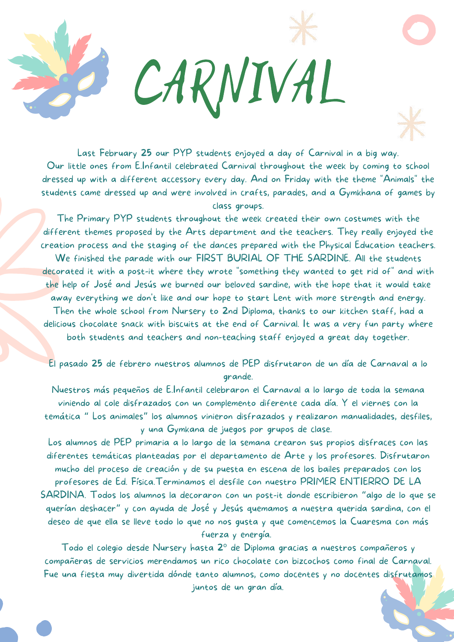CARNIVAL

Last February 25 our PYP students enjoyed a day of Carnival in a big way. Our little ones from E.Infantil celebrated Carnival throughout the week by coming to school dressed up with a different accessory every day. And on Friday with the theme "Animals" the students came dressed up and were involved in crafts, parades, and a Gymkhana of games by class groups.

The Primary PYP students throughout the week created their own costumes with the different themes proposed by the Arts department and the teachers. They really enjoyed the creation process and the staging of the dances prepared with the Physical Education teachers. We finished the parade with our FIRST BURIAL OF THE SARDINE. All the students decorated it with a post-it where they wrote "something they wanted to get rid of" and with the help of José and Jesús we burned our beloved sardine, with the hope that it would take away everything we don't like and our hope to start Lent with more strength and energy. Then the whole school from Nursery to 2nd Diploma, thanks to our kitchen staff, had a delicious chocolate snack with biscuits at the end of Carnival. It was a very fun party where both students and teachers and non-teaching staff enjoyed a great day together.

El pasado 25 de febrero nuestros alumnos de PEP disfrutaron de un día de Carnaval a lo grande.

Nuestros más pequeños de E.Infantil celebraron el Carnaval a lo largo de toda la semana viniendo al cole disfrazados con un complemento diferente cada día. Y el viernes con la temática " Los animales" los alumnos vinieron disfrazados y realizaron manualidades, desfiles, y una Gymkana de juegos por grupos de clase.

Los alumnos de PEP primaria a lo largo de la semana crearon sus propios disfraces con las diferentes temáticas planteadas por el departamento de Arte y los profesores. Disfrutaron mucho del proceso de creación y de su puesta en escena de los bailes preparados con los profesores de Ed. Física.Terminamos el desfile con nuestro PRIMER ENTIERRO DE LA SARDINA. Todos los alumnos la decoraron con un post-it donde escribieron " algo de lo que se querían deshacer" y con ayuda de José y Jesús quemamos a nuestra querida sardina, con el deseo de que ella se lleve todo lo que no nos gusta y que comencemos la Cuaresma con más

fuerza y energía.

Todo el colegio desde Nursery hasta 2º de Diploma gracias a nuestros compañeros y compañeras de servicios merendamos un rico chocolate con bizcochos como final de Carnaval. Fue una fiesta muy divertida dónde tanto alumnos, como docentes y no docentes disfrutamos juntos de un gran día.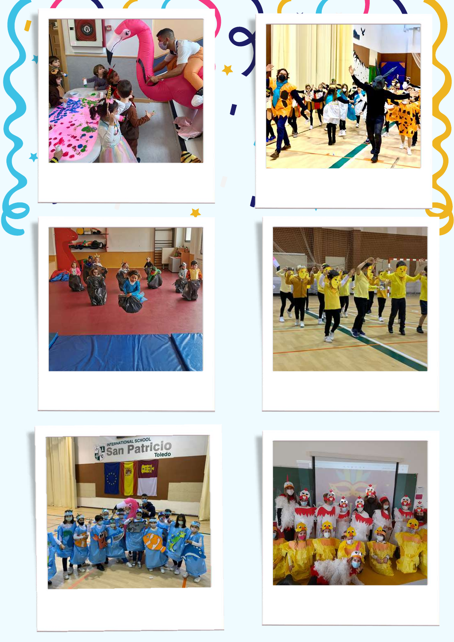

 $\epsilon$ 









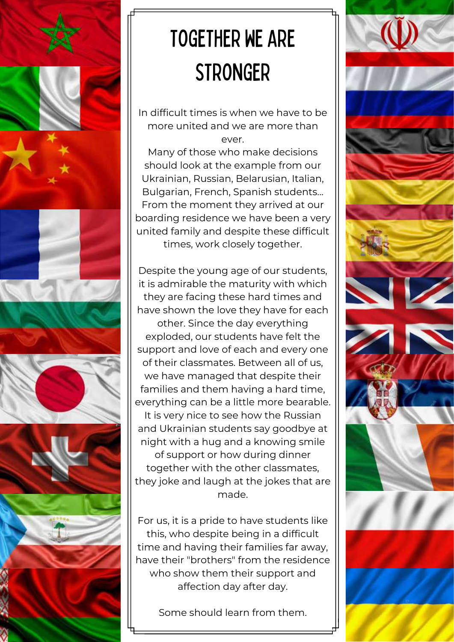

### TOGETHER WE ARE STRONGER

In difficult times is when we have to be more united and we are more than ever.

Many of those who make decisions should look at the example from our Ukrainian, Russian, Belarusian, Italian, Bulgarian, French, Spanish students... From the moment they arrived at our boarding residence we have been a very united family and despite these difficult times, work closely together.

Despite the young age of our students, it is admirable the maturity with which they are facing these hard times and have shown the love they have for each other. Since the day everything exploded, our students have felt the support and love of each and every one of their classmates. Between all of us, we have managed that despite their families and them having a hard time, everything can be a little more bearable. It is very nice to see how the Russian and Ukrainian students say goodbye at night with a hug and a knowing smile of support or how during dinner together with the other classmates, they joke and laugh at the jokes that are made.

For us, it is a pride to have students like this, who despite being in a difficult time and having their families far away, have their "brothers" from the residence who show them their support and affection day after day.

Some should learn from them.

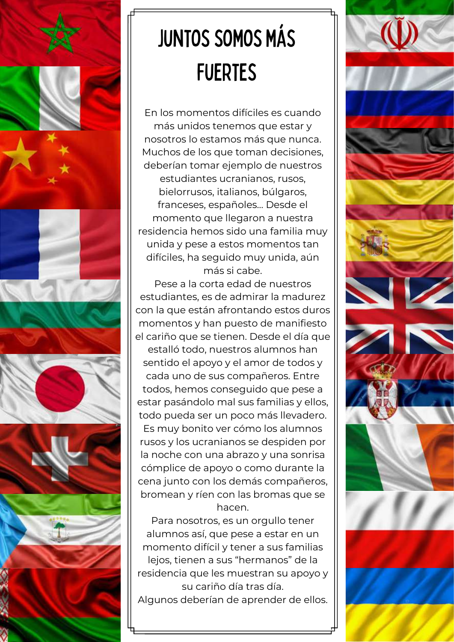

## juntossomos más **FUERTES**

En los momentos difíciles es cuando más unidos tenemos que estar y nosotros lo estamos más que nunca. Muchos de los que toman decisiones, deberían tomar ejemplo de nuestros estudiantes ucranianos, rusos, bielorrusos, italianos, búlgaros, franceses, españoles… Desde el momento que llegaron a nuestra residencia hemos sido una familia muy unida y pese a estos momentos tan difíciles, ha seguido muy unida, aún más si cabe.

Pese a la corta edad de nuestros estudiantes, es de admirar la madurez con la que están afrontando estos duros momentos y han puesto de manifiesto el cariño que se tienen. Desde el día que estalló todo, nuestros alumnos han sentido el apoyo y el amor de todos y cada uno de sus compañeros. Entre todos, hemos conseguido que pese a estar pasándolo mal sus familias y ellos, todo pueda ser un poco más llevadero. Es muy bonito ver cómo los alumnos rusos y los ucranianos se despiden por la noche con una abrazo y una sonrisa cómplice de apoyo o como durante la cena junto con los demás compañeros, bromean y ríen con las bromas que se hacen.

Para nosotros, es un orgullo tener alumnos así, que pese a estar en un momento difícil y tener a sus familias lejos, tienen a sus "hermanos" de la residencia que les muestran su apoyo y su cariño día tras día. Algunos deberían de aprender de ellos.